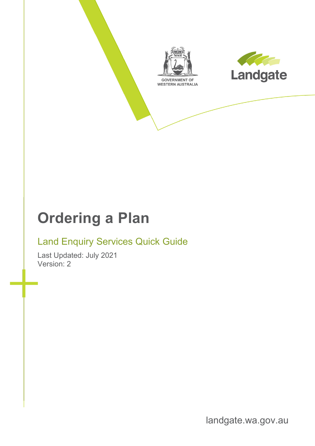

## **Ordering a Plan**

#### Land Enquiry Services Quick Guide

Last Updated: July 2021 Version: 2

landgate.wa.gov.au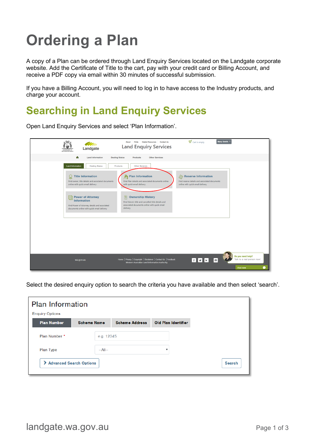# **Ordering a Plan**

A copy of a Plan can be ordered through Land Enquiry Services located on the Landgate corporate website. Add the Certificate of Title to the cart, pay with your credit card or Billing Account, and receive a PDF copy via email within 30 minutes of successful submission.

If you have a Billing Account, you will need to log in to have access to the Industry products, and charge your account.

#### **Searching in Land Enquiry Services**

Open Land Enquiry Services and select 'Plan Information'.

| Landgate<br><b>GOVERNMENT OF</b><br>WESTERN AUSTRALIA                                                                                  | <b>FAQs</b><br><b>Helpful Resources</b><br><b>Contact Us</b><br>About<br><b>Land Enquiry Services</b>                                            | $\frac{1}{2}$ Cart is empty<br>Mary Smith *                                                                                  |
|----------------------------------------------------------------------------------------------------------------------------------------|--------------------------------------------------------------------------------------------------------------------------------------------------|------------------------------------------------------------------------------------------------------------------------------|
| ₳<br><b>Land Information</b>                                                                                                           | <b>Dealing Status</b><br><b>Other Services</b><br><b>Products</b>                                                                                |                                                                                                                              |
| <b>Land Information</b><br><b>Dealing Status</b>                                                                                       | Products<br><b>Other Services</b>                                                                                                                |                                                                                                                              |
| <b>Title Information</b><br>₩<br>Find owner, title details and associated documents<br>online with quick email delivery                | <b>Plan Information</b><br>Find Plan details and associated documents online<br>with quick email delivery                                        | $\sqrt{\mathbb{Z}}$ Reserve Information<br>Find reserve details and associated documents<br>online with quick email delivery |
| Power of Attorney<br><b>Information</b><br>Find Power of Attorney details and associated<br>documents online with quick email delivery | E<br><b>Ownership History</b><br>Find historic title and cancelled title details and<br>associated documents online with quick email<br>delivery |                                                                                                                              |
|                                                                                                                                        |                                                                                                                                                  |                                                                                                                              |
|                                                                                                                                        |                                                                                                                                                  |                                                                                                                              |
| wa.gov.au                                                                                                                              | Home   Privacy   Copyright   Disclaimer   Contact Us   Feedback<br>Western Australian Land Information Authority                                 | Do you need help?<br>Talk to a real person now!<br>FVF<br>$\boxtimes$<br><b>Chat now</b><br>٠                                |

Select the desired enquiry option to search the criteria you have available and then select 'search'.

| <b>Plan Information</b> |                                |                       |                            |               |  |
|-------------------------|--------------------------------|-----------------------|----------------------------|---------------|--|
| <b>Enquiry Options</b>  |                                |                       |                            |               |  |
| <b>Plan Number</b>      | <b>Scheme Name</b>             | <b>Scheme Address</b> | <b>Old Plan Identifier</b> |               |  |
| Plan Number *           | e.g. 12345                     |                       |                            |               |  |
| Plan Type               | $-A$ ll $-$                    |                       |                            |               |  |
| ⋗                       | <b>Advanced Search Options</b> |                       |                            | <b>Search</b> |  |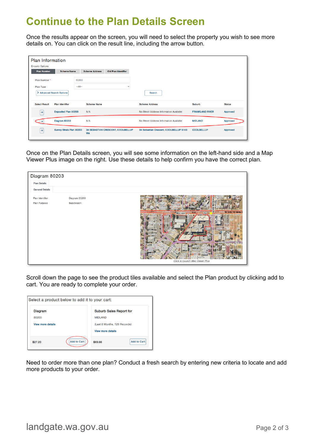#### **Continue to the Plan Details Screen**

Once the results appear on the screen, you will need to select the property you wish to see more details on. You can click on the result line, including the arrow button.

| <b>Plan Information</b><br><b>Enquiry Options</b> |                          |                   |                       |                                   |                                         |                        |               |
|---------------------------------------------------|--------------------------|-------------------|-----------------------|-----------------------------------|-----------------------------------------|------------------------|---------------|
| <b>Plan Number</b>                                | <b>Scheme Name</b>       |                   | <b>Scheme Address</b> | Old Plan Identifier               |                                         |                        |               |
| Plan Number *<br>Plan Type                        |                          | 80203<br>$-A$ ll- |                       | $\checkmark$                      |                                         |                        |               |
|                                                   | Advanced Search Options  |                   |                       |                                   | <b>Search</b>                           |                        |               |
| <b>Select Result</b>                              | <b>Plan Identifier</b>   |                   | <b>Scheme Name</b>    |                                   | <b>Scheme Address</b>                   | Suburb                 | <b>Status</b> |
| →                                                 | Deposited Plan 80203     |                   | N/A                   |                                   | No Street Address Information Available | <b>FRANKLAND RIVER</b> | Approved      |
| →                                                 | Diagram 80203            |                   | N/A                   |                                   | No Street Address Information Available | <b>MIDLAND</b>         | Approved      |
| $\rightarrow$                                     | Survey Strata Plan 80203 |                   | <b>WA</b>             | 34 SEBASTIAN CRESCENT, COOLBELLUP | 34 Sebastian Crescent, COOLBELLUP 6163  | <b>COOLBELLUP</b>      | Approved      |

Once on the Plan Details screen, you will see some information on the left-hand side and a Map Viewer Plus image on the right. Use these details to help confirm you have the correct plan.



Scroll down the page to see the product tiles available and select the Plan product by clicking add to cart. You are ready to complete your order.

| Select a product below to add it to your cart: |                    |                                |  |
|------------------------------------------------|--------------------|--------------------------------|--|
| <b>Diagram</b>                                 |                    | <b>Suburb Sales Report for</b> |  |
| 80203                                          |                    | <b>MIDLAND</b>                 |  |
| View more details                              |                    | (Last 6 Months, 129 Records)   |  |
|                                                |                    | <b>View more details</b>       |  |
| \$27.20                                        | <b>Add to Cart</b> | <b>Add to Cart</b><br>\$69.66  |  |

Need to order more than one plan? Conduct a fresh search by entering new criteria to locate and add more products to your order.